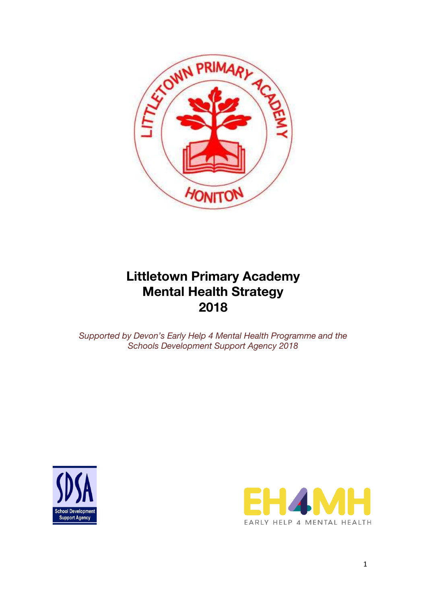

# **Littletown Primary Academy Mental Health Strategy 2018**

*Supported by Devon's Early Help 4 Mental Health Programme and the Schools Development Support Agency 2018*



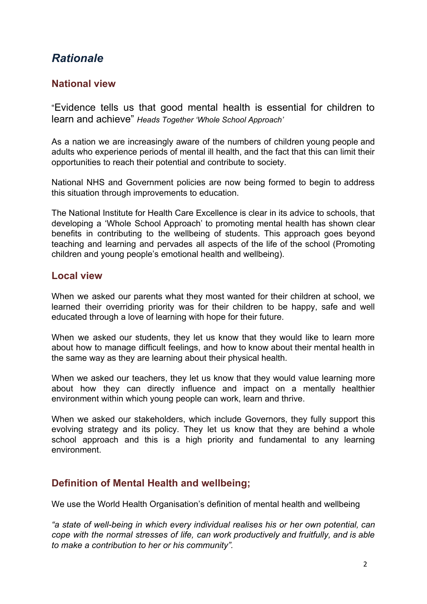# *Rationale*

#### **National view**

"Evidence tells us that good mental health is essential for children to learn and achieve" *Heads Together 'Whole School Approach'*

As a nation we are increasingly aware of the numbers of children young people and adults who experience periods of mental ill health, and the fact that this can limit their opportunities to reach their potential and contribute to society.

National NHS and Government policies are now being formed to begin to address this situation through improvements to education.

The National Institute for Health Care Excellence is clear in its advice to schools, that developing a 'Whole School Approach' to promoting mental health has shown clear benefits in contributing to the wellbeing of students. This approach goes beyond teaching and learning and pervades all aspects of the life of the school (Promoting children and young people's emotional health and wellbeing).

#### **Local view**

When we asked our parents what they most wanted for their children at school, we learned their overriding priority was for their children to be happy, safe and well educated through a love of learning with hope for their future.

When we asked our students, they let us know that they would like to learn more about how to manage difficult feelings, and how to know about their mental health in the same way as they are learning about their physical health.

When we asked our teachers, they let us know that they would value learning more about how they can directly influence and impact on a mentally healthier environment within which young people can work, learn and thrive.

When we asked our stakeholders, which include Governors, they fully support this evolving strategy and its policy. They let us know that they are behind a whole school approach and this is a high priority and fundamental to any learning environment.

### **Definition of Mental Health and wellbeing;**

We use the World Health Organisation's definition of mental health and wellbeing

*"a state of well-being in which every individual realises his or her own potential, can cope with the normal stresses of life, can work productively and fruitfully, and is able to make a contribution to her or his community".*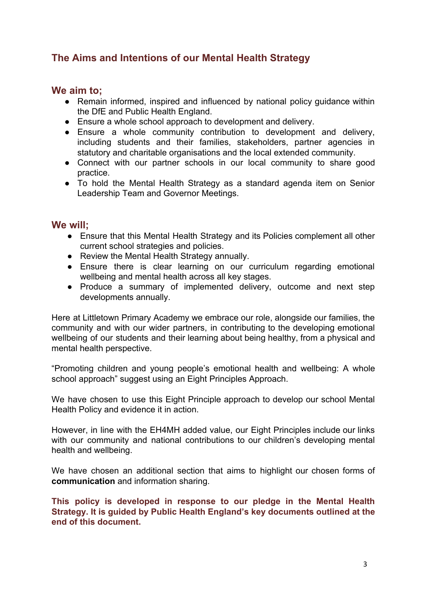## **The Aims and Intentions of our Mental Health Strategy**

#### **We aim to;**

- Remain informed, inspired and influenced by national policy guidance within the DfE and Public Health England.
- Ensure a whole school approach to development and delivery.
- Ensure a whole community contribution to development and delivery, including students and their families, stakeholders, partner agencies in statutory and charitable organisations and the local extended community.
- Connect with our partner schools in our local community to share good practice.
- To hold the Mental Health Strategy as a standard agenda item on Senior Leadership Team and Governor Meetings.

#### **We will;**

- Ensure that this Mental Health Strategy and its Policies complement all other current school strategies and policies.
- Review the Mental Health Strategy annually.
- Ensure there is clear learning on our curriculum regarding emotional wellbeing and mental health across all key stages.
- Produce a summary of implemented delivery, outcome and next step developments annually.

Here at Littletown Primary Academy we embrace our role, alongside our families, the community and with our wider partners, in contributing to the developing emotional wellbeing of our students and their learning about being healthy, from a physical and mental health perspective.

"Promoting children and young people's emotional health and wellbeing: A whole school approach" suggest using an Eight Principles Approach.

We have chosen to use this Eight Principle approach to develop our school Mental Health Policy and evidence it in action.

However, in line with the EH4MH added value, our Eight Principles include our links with our community and national contributions to our children's developing mental health and wellbeing.

We have chosen an additional section that aims to highlight our chosen forms of **communication** and information sharing.

**This policy is developed in response to our pledge in the Mental Health Strategy. It is guided by Public Health England's key documents outlined at the end of this document.**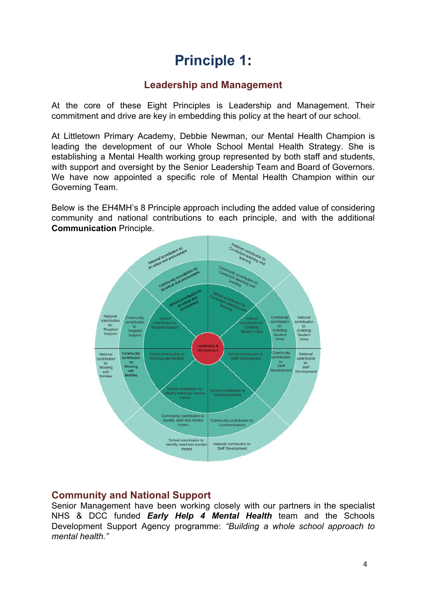# **Principle 1:**

## **Leadership and Management**

At the core of these Eight Principles is Leadership and Management. Their commitment and drive are key in embedding this policy at the heart of our school.

At Littletown Primary Academy, Debbie Newman, our Mental Health Champion is leading the development of our Whole School Mental Health Strategy. She is establishing a Mental Health working group represented by both staff and students, with support and oversight by the Senior Leadership Team and Board of Governors. We have now appointed a specific role of Mental Health Champion within our Governing Team.

Below is the EH4MH's 8 Principle approach including the added value of considering community and national contributions to each principle, and with the additional **Communication** Principle.



### **Community and National Support**

Senior Management have been working closely with our partners in the specialist NHS & DCC funded *Early Help 4 Mental Health* team and the Schools Development Support Agency programme: *"Building a whole school approach to mental health."*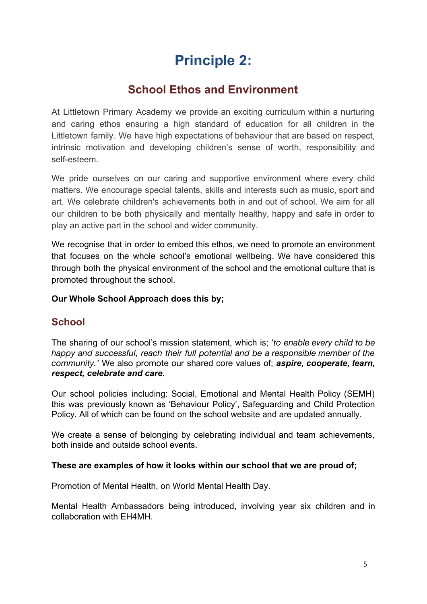# **Principle 2:**

# **School Ethos and Environment**

At Littletown Primary Academy we provide an exciting curriculum within a nurturing and caring ethos ensuring a high standard of education for all children in the Littletown family. We have high expectations of behaviour that are based on respect, intrinsic motivation and developing children's sense of worth, responsibility and self-esteem.

We pride ourselves on our caring and supportive environment where every child matters. We encourage special talents, skills and interests such as music, sport and art. We celebrate children's achievements both in and out of school. We aim for all our children to be both physically and mentally healthy, happy and safe in order to play an active part in the school and wider community.

We recognise that in order to embed this ethos, we need to promote an environment that focuses on the whole school's emotional wellbeing. We have considered this through both the physical environment of the school and the emotional culture that is promoted throughout the school.

#### **Our Whole School Approach does this by;**

### **School**

The sharing of our school's mission statement, which is; '*to enable every child to be happy and successful, reach their full potential and be a responsible member of the community.'* We also promote our shared core values of; *aspire, cooperate, learn, respect, celebrate and care.*

Our school policies including: Social, Emotional and Mental Health Policy (SEMH) this was previously known as 'Behaviour Policy', Safeguarding and Child Protection Policy. All of which can be found on the school website and are updated annually.

We create a sense of belonging by celebrating individual and team achievements, both inside and outside school events.

#### **These are examples of how it looks within our school that we are proud of;**

Promotion of Mental Health, on World Mental Health Day.

Mental Health Ambassadors being introduced, involving year six children and in collaboration with EH4MH.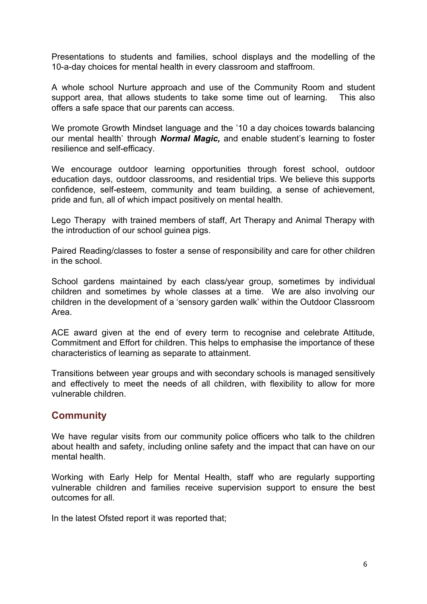Presentations to students and families, school displays and the modelling of the 10-a-day choices for mental health in every classroom and staffroom.

A whole school Nurture approach and use of the Community Room and student support area, that allows students to take some time out of learning. This also offers a safe space that our parents can access.

We promote Growth Mindset language and the '10 a day choices towards balancing our mental health' through *Normal Magic,* and enable student's learning to foster resilience and self-efficacy.

We encourage outdoor learning opportunities through forest school, outdoor education days, outdoor classrooms, and residential trips. We believe this supports confidence, self-esteem, community and team building, a sense of achievement, pride and fun, all of which impact positively on mental health.

Lego Therapy with trained members of staff, Art Therapy and Animal Therapy with the introduction of our school guinea pigs.

Paired Reading/classes to foster a sense of responsibility and care for other children in the school.

School gardens maintained by each class/year group, sometimes by individual children and sometimes by whole classes at a time. We are also involving our children in the development of a 'sensory garden walk' within the Outdoor Classroom Area.

ACE award given at the end of every term to recognise and celebrate Attitude, Commitment and Effort for children. This helps to emphasise the importance of these characteristics of learning as separate to attainment.

Transitions between year groups and with secondary schools is managed sensitively and effectively to meet the needs of all children, with flexibility to allow for more vulnerable children.

#### **Community**

We have regular visits from our community police officers who talk to the children about health and safety, including online safety and the impact that can have on our mental health.

Working with Early Help for Mental Health, staff who are regularly supporting vulnerable children and families receive supervision support to ensure the best outcomes for all.

In the latest Ofsted report it was reported that;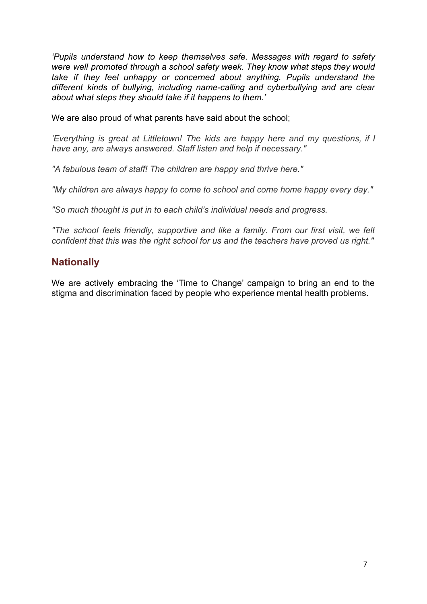*'Pupils understand how to keep themselves safe. Messages with regard to safety were well promoted through a school safety week. They know what steps they would take if they feel unhappy or concerned about anything. Pupils understand the different kinds of bullying, including name-calling and cyberbullying and are clear about what steps they should take if it happens to them.'*

We are also proud of what parents have said about the school;

*'Everything is great at Littletown! The kids are happy here and my questions, if I have any, are always answered. Staff listen and help if necessary."*

*"A fabulous team of staff! The children are happy and thrive here."*

*"My children are always happy to come to school and come home happy every day."*

*"So much thought is put in to each child's individual needs and progress.*

*"The school feels friendly, supportive and like a family. From our first visit, we felt confident that this was the right school for us and the teachers have proved us right."*

#### **Nationally**

We are actively embracing the 'Time to Change' campaign to bring an end to the stigma and discrimination faced by people who experience mental health problems.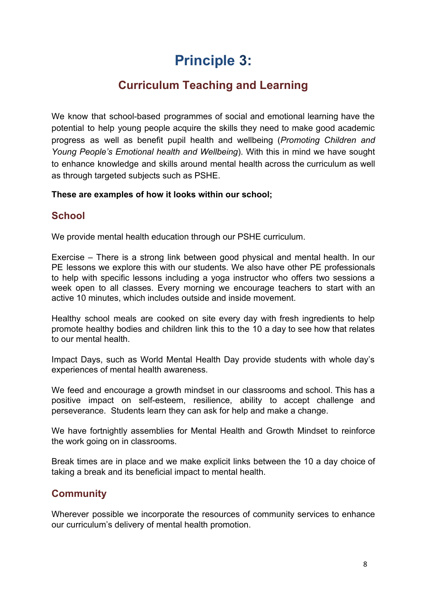# **Principle 3:**

# **Curriculum Teaching and Learning**

We know that school-based programmes of social and emotional learning have the potential to help young people acquire the skills they need to make good academic progress as well as benefit pupil health and wellbeing (*Promoting Children and Young People's Emotional health and Wellbeing*). With this in mind we have sought to enhance knowledge and skills around mental health across the curriculum as well as through targeted subjects such as PSHE.

#### **These are examples of how it looks within our school;**

## **School**

We provide mental health education through our PSHE curriculum.

Exercise – There is a strong link between good physical and mental health. In our PE lessons we explore this with our students. We also have other PE professionals to help with specific lessons including a yoga instructor who offers two sessions a week open to all classes. Every morning we encourage teachers to start with an active 10 minutes, which includes outside and inside movement.

Healthy school meals are cooked on site every day with fresh ingredients to help promote healthy bodies and children link this to the 10 a day to see how that relates to our mental health.

Impact Days, such as World Mental Health Day provide students with whole day's experiences of mental health awareness.

We feed and encourage a growth mindset in our classrooms and school. This has a positive impact on self-esteem, resilience, ability to accept challenge and perseverance. Students learn they can ask for help and make a change.

We have fortnightly assemblies for Mental Health and Growth Mindset to reinforce the work going on in classrooms.

Break times are in place and we make explicit links between the 10 a day choice of taking a break and its beneficial impact to mental health.

## **Community**

Wherever possible we incorporate the resources of community services to enhance our curriculum's delivery of mental health promotion.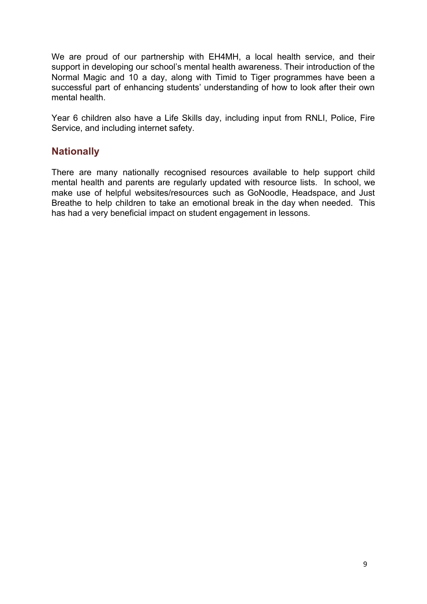We are proud of our partnership with EH4MH, a local health service, and their support in developing our school's mental health awareness. Their introduction of the Normal Magic and 10 a day, along with Timid to Tiger programmes have been a successful part of enhancing students' understanding of how to look after their own mental health.

Year 6 children also have a Life Skills day, including input from RNLI, Police, Fire Service, and including internet safety.

#### **Nationally**

There are many nationally recognised resources available to help support child mental health and parents are regularly updated with resource lists. In school, we make use of helpful websites/resources such as GoNoodle, Headspace, and Just Breathe to help children to take an emotional break in the day when needed. This has had a very beneficial impact on student engagement in lessons.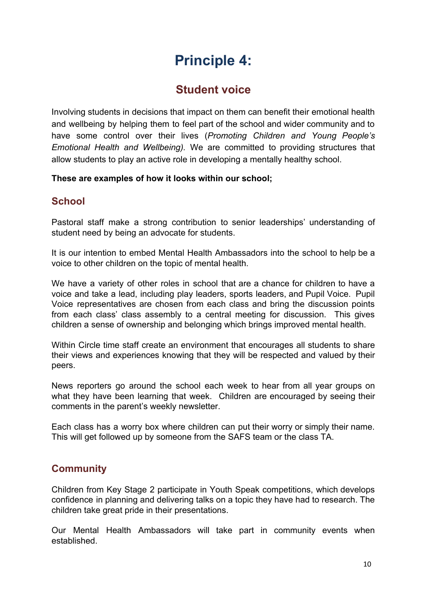# **Principle 4:**

# **Student voice**

Involving students in decisions that impact on them can benefit their emotional health and wellbeing by helping them to feel part of the school and wider community and to have some control over their lives (*Promoting Children and Young People's Emotional Health and Wellbeing).* We are committed to providing structures that allow students to play an active role in developing a mentally healthy school.

#### **These are examples of how it looks within our school;**

## **School**

Pastoral staff make a strong contribution to senior leaderships' understanding of student need by being an advocate for students.

It is our intention to embed Mental Health Ambassadors into the school to help be a voice to other children on the topic of mental health.

We have a variety of other roles in school that are a chance for children to have a voice and take a lead, including play leaders, sports leaders, and Pupil Voice. Pupil Voice representatives are chosen from each class and bring the discussion points from each class' class assembly to a central meeting for discussion. This gives children a sense of ownership and belonging which brings improved mental health.

Within Circle time staff create an environment that encourages all students to share their views and experiences knowing that they will be respected and valued by their peers.

News reporters go around the school each week to hear from all year groups on what they have been learning that week. Children are encouraged by seeing their comments in the parent's weekly newsletter.

Each class has a worry box where children can put their worry or simply their name. This will get followed up by someone from the SAFS team or the class TA.

## **Community**

Children from Key Stage 2 participate in Youth Speak competitions, which develops confidence in planning and delivering talks on a topic they have had to research. The children take great pride in their presentations.

Our Mental Health Ambassadors will take part in community events when established.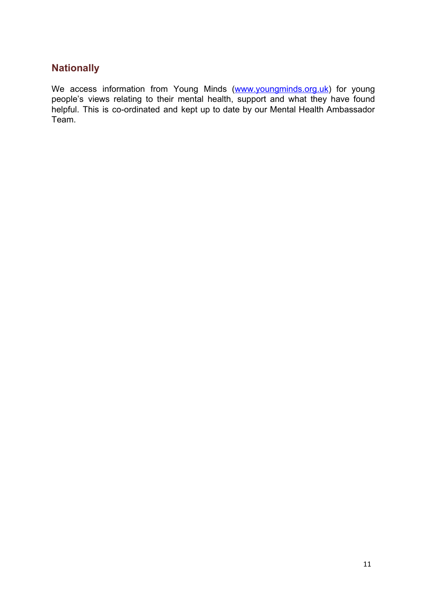### **Nationally**

We access information from Young Minds ([www.youngminds.org.uk\)](http://www.youngminds.org.uk/) for young people's views relating to their mental health, support and what they have found helpful. This is co-ordinated and kept up to date by our Mental Health Ambassador Team.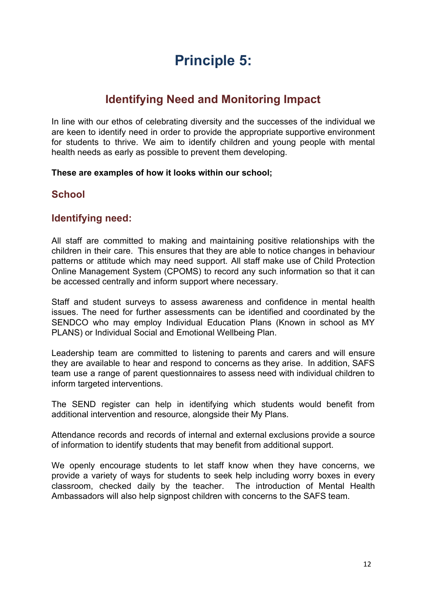# **Principle 5:**

# **Identifying Need and Monitoring Impact**

In line with our ethos of celebrating diversity and the successes of the individual we are keen to identify need in order to provide the appropriate supportive environment for students to thrive. We aim to identify children and young people with mental health needs as early as possible to prevent them developing.

#### **These are examples of how it looks within our school;**

#### **School**

#### **Identifying need:**

All staff are committed to making and maintaining positive relationships with the children in their care. This ensures that they are able to notice changes in behaviour patterns or attitude which may need support. All staff make use of Child Protection Online Management System (CPOMS) to record any such information so that it can be accessed centrally and inform support where necessary.

Staff and student surveys to assess awareness and confidence in mental health issues. The need for further assessments can be identified and coordinated by the SENDCO who may employ Individual Education Plans (Known in school as MY PLANS) or Individual Social and Emotional Wellbeing Plan.

Leadership team are committed to listening to parents and carers and will ensure they are available to hear and respond to concerns as they arise. In addition, SAFS team use a range of parent questionnaires to assess need with individual children to inform targeted interventions.

The SEND register can help in identifying which students would benefit from additional intervention and resource, alongside their My Plans.

Attendance records and records of internal and external exclusions provide a source of information to identify students that may benefit from additional support.

We openly encourage students to let staff know when they have concerns, we provide a variety of ways for students to seek help including worry boxes in every classroom, checked daily by the teacher. The introduction of Mental Health Ambassadors will also help signpost children with concerns to the SAFS team.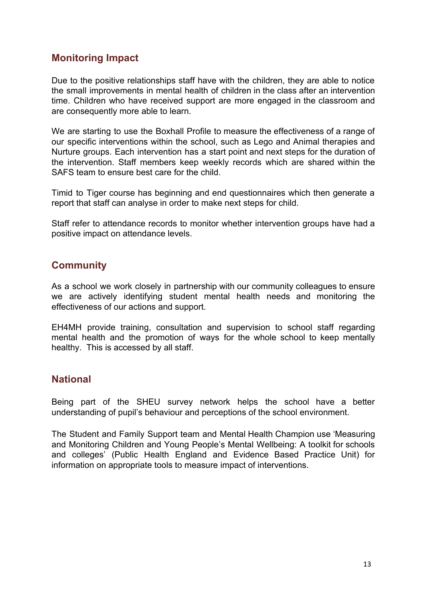### **Monitoring Impact**

Due to the positive relationships staff have with the children, they are able to notice the small improvements in mental health of children in the class after an intervention time. Children who have received support are more engaged in the classroom and are consequently more able to learn.

We are starting to use the Boxhall Profile to measure the effectiveness of a range of our specific interventions within the school, such as Lego and Animal therapies and Nurture groups. Each intervention has a start point and next steps for the duration of the intervention. Staff members keep weekly records which are shared within the SAFS team to ensure best care for the child.

Timid to Tiger course has beginning and end questionnaires which then generate a report that staff can analyse in order to make next steps for child.

Staff refer to attendance records to monitor whether intervention groups have had a positive impact on attendance levels.

#### **Community**

As a school we work closely in partnership with our community colleagues to ensure we are actively identifying student mental health needs and monitoring the effectiveness of our actions and support.

EH4MH provide training, consultation and supervision to school staff regarding mental health and the promotion of ways for the whole school to keep mentally healthy. This is accessed by all staff.

#### **National**

Being part of the SHEU survey network helps the school have a better understanding of pupil's behaviour and perceptions of the school environment.

The Student and Family Support team and Mental Health Champion use 'Measuring and Monitoring Children and Young People's Mental Wellbeing: A toolkit for schools and colleges' (Public Health England and Evidence Based Practice Unit) for information on appropriate tools to measure impact of interventions.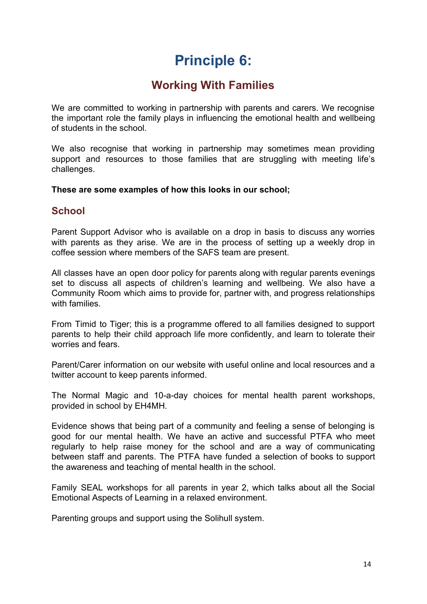# **Principle 6:**

# **Working With Families**

We are committed to working in partnership with parents and carers. We recognise the important role the family plays in influencing the emotional health and wellbeing of students in the school.

We also recognise that working in partnership may sometimes mean providing support and resources to those families that are struggling with meeting life's challenges.

#### **These are some examples of how this looks in our school;**

#### **School**

Parent Support Advisor who is available on a drop in basis to discuss any worries with parents as they arise. We are in the process of setting up a weekly drop in coffee session where members of the SAFS team are present.

All classes have an open door policy for parents along with regular parents evenings set to discuss all aspects of children's learning and wellbeing. We also have a Community Room which aims to provide for, partner with, and progress relationships with families.

From Timid to Tiger; this is a programme offered to all families designed to support parents to help their child approach life more confidently, and learn to tolerate their worries and fears.

Parent/Carer information on our website with useful online and local resources and a twitter account to keep parents informed.

The Normal Magic and 10-a-day choices for mental health parent workshops, provided in school by EH4MH.

Evidence shows that being part of a community and feeling a sense of belonging is good for our mental health. We have an active and successful PTFA who meet regularly to help raise money for the school and are a way of communicating between staff and parents. The PTFA have funded a selection of books to support the awareness and teaching of mental health in the school.

Family SEAL workshops for all parents in year 2, which talks about all the Social Emotional Aspects of Learning in a relaxed environment.

Parenting groups and support using the Solihull system.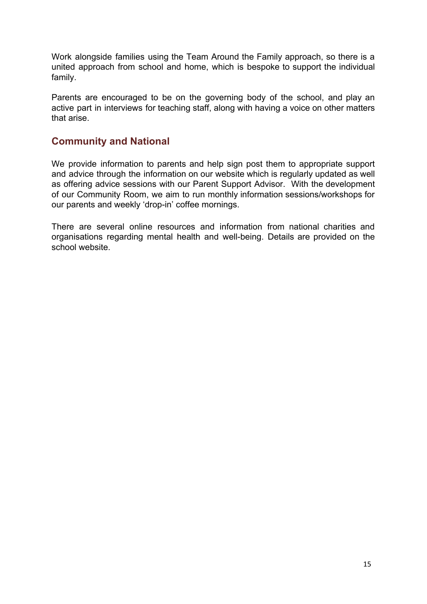Work alongside families using the Team Around the Family approach, so there is a united approach from school and home, which is bespoke to support the individual family.

Parents are encouraged to be on the governing body of the school, and play an active part in interviews for teaching staff, along with having a voice on other matters that arise.

#### **Community and National**

We provide information to parents and help sign post them to appropriate support and advice through the information on our website which is regularly updated as well as offering advice sessions with our Parent Support Advisor. With the development of our Community Room, we aim to run monthly information sessions/workshops for our parents and weekly 'drop-in' coffee mornings.

There are several online resources and information from national charities and organisations regarding mental health and well-being. Details are provided on the school website.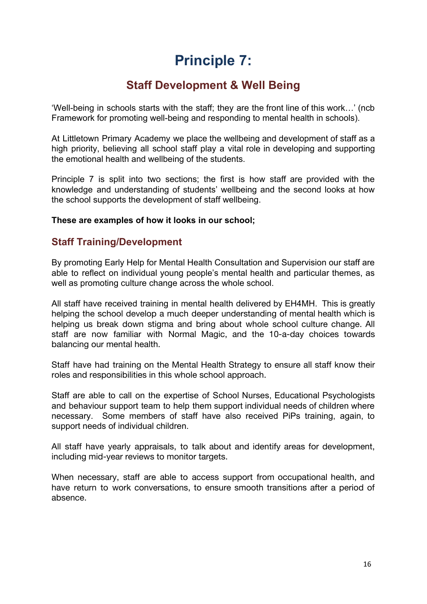# **Principle 7:**

# **Staff Development & Well Being**

'Well-being in schools starts with the staff; they are the front line of this work…' (ncb Framework for promoting well-being and responding to mental health in schools).

At Littletown Primary Academy we place the wellbeing and development of staff as a high priority, believing all school staff play a vital role in developing and supporting the emotional health and wellbeing of the students.

Principle 7 is split into two sections; the first is how staff are provided with the knowledge and understanding of students' wellbeing and the second looks at how the school supports the development of staff wellbeing.

#### **These are examples of how it looks in our school;**

#### **Staff Training/Development**

By promoting Early Help for Mental Health Consultation and Supervision our staff are able to reflect on individual young people's mental health and particular themes, as well as promoting culture change across the whole school.

All staff have received training in mental health delivered by EH4MH. This is greatly helping the school develop a much deeper understanding of mental health which is helping us break down stigma and bring about whole school culture change. All staff are now familiar with Normal Magic, and the 10-a-day choices towards balancing our mental health.

Staff have had training on the Mental Health Strategy to ensure all staff know their roles and responsibilities in this whole school approach.

Staff are able to call on the expertise of School Nurses, Educational Psychologists and behaviour support team to help them support individual needs of children where necessary. Some members of staff have also received PiPs training, again, to support needs of individual children.

All staff have yearly appraisals, to talk about and identify areas for development, including mid-year reviews to monitor targets.

When necessary, staff are able to access support from occupational health, and have return to work conversations, to ensure smooth transitions after a period of absence.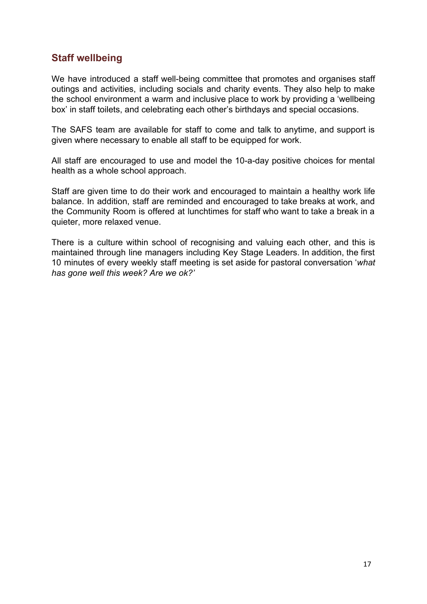### **Staff wellbeing**

We have introduced a staff well-being committee that promotes and organises staff outings and activities, including socials and charity events. They also help to make the school environment a warm and inclusive place to work by providing a 'wellbeing box' in staff toilets, and celebrating each other's birthdays and special occasions.

The SAFS team are available for staff to come and talk to anytime, and support is given where necessary to enable all staff to be equipped for work.

All staff are encouraged to use and model the 10-a-day positive choices for mental health as a whole school approach.

Staff are given time to do their work and encouraged to maintain a healthy work life balance. In addition, staff are reminded and encouraged to take breaks at work, and the Community Room is offered at lunchtimes for staff who want to take a break in a quieter, more relaxed venue.

There is a culture within school of recognising and valuing each other, and this is maintained through line managers including Key Stage Leaders. In addition, the first 10 minutes of every weekly staff meeting is set aside for pastoral conversation '*what has gone well this week? Are we ok?'*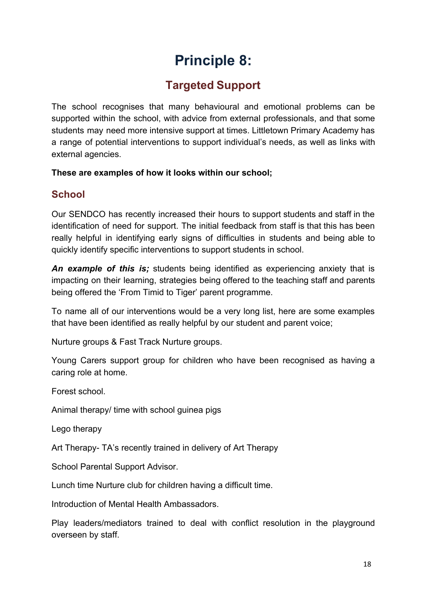# **Principle 8:**

# **Targeted Support**

The school recognises that many behavioural and emotional problems can be supported within the school, with advice from external professionals, and that some students may need more intensive support at times. Littletown Primary Academy has a range of potential interventions to support individual's needs, as well as links with external agencies.

#### **These are examples of how it looks within our school;**

## **School**

Our SENDCO has recently increased their hours to support students and staff in the identification of need for support. The initial feedback from staff is that this has been really helpful in identifying early signs of difficulties in students and being able to quickly identify specific interventions to support students in school.

*An example of this is;* students being identified as experiencing anxiety that is impacting on their learning, strategies being offered to the teaching staff and parents being offered the 'From Timid to Tiger' parent programme.

To name all of our interventions would be a very long list, here are some examples that have been identified as really helpful by our student and parent voice;

Nurture groups & Fast Track Nurture groups.

Young Carers support group for children who have been recognised as having a caring role at home.

Forest school.

Animal therapy/ time with school guinea pigs

Lego therapy

Art Therapy- TA's recently trained in delivery of Art Therapy

School Parental Support Advisor.

Lunch time Nurture club for children having a difficult time.

Introduction of Mental Health Ambassadors.

Play leaders/mediators trained to deal with conflict resolution in the playground overseen by staff.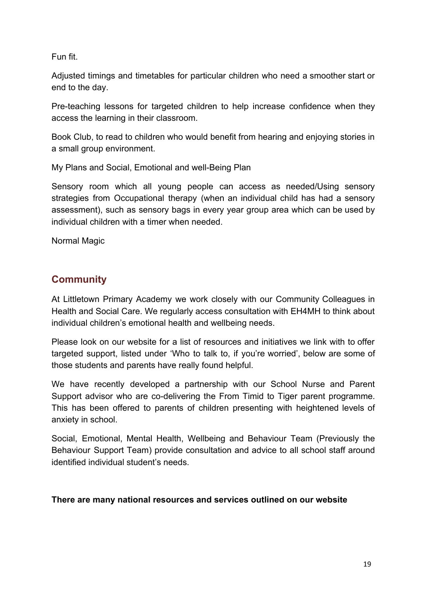Fun fit.

Adjusted timings and timetables for particular children who need a smoother start or end to the day.

Pre-teaching lessons for targeted children to help increase confidence when they access the learning in their classroom.

Book Club, to read to children who would benefit from hearing and enjoying stories in a small group environment.

My Plans and Social, Emotional and well-Being Plan

Sensory room which all young people can access as needed/Using sensory strategies from Occupational therapy (when an individual child has had a sensory assessment), such as sensory bags in every year group area which can be used by individual children with a timer when needed.

Normal Magic

## **Community**

At Littletown Primary Academy we work closely with our Community Colleagues in Health and Social Care. We regularly access consultation with EH4MH to think about individual children's emotional health and wellbeing needs.

Please look on our website for a list of resources and initiatives we link with to offer targeted support, listed under 'Who to talk to, if you're worried', below are some of those students and parents have really found helpful.

We have recently developed a partnership with our School Nurse and Parent Support advisor who are co-delivering the From Timid to Tiger parent programme. This has been offered to parents of children presenting with heightened levels of anxiety in school.

Social, Emotional, Mental Health, Wellbeing and Behaviour Team (Previously the Behaviour Support Team) provide consultation and advice to all school staff around identified individual student's needs.

#### **There are many national resources and services outlined on our website**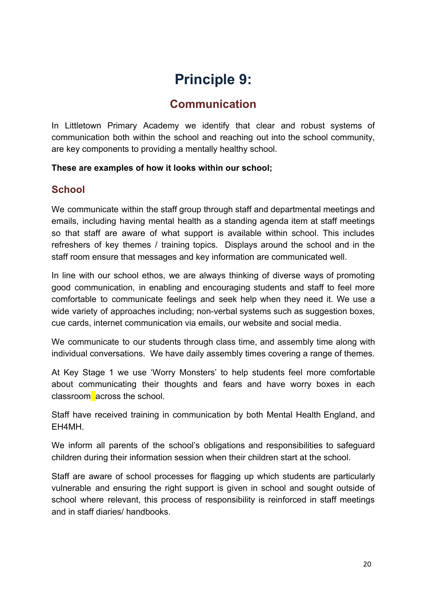# **Principle 9:**

# **Communication**

In Littletown Primary Academy we identify that clear and robust systems of communication both within the school and reaching out into the school community, are key components to providing a mentally healthy school.

#### **These are examples of how it looks within our school;**

## **School**

We communicate within the staff group through staff and departmental meetings and emails, including having mental health as a standing agenda item at staff meetings so that staff are aware of what support is available within school. This includes refreshers of key themes / training topics. Displays around the school and in the staff room ensure that messages and key information are communicated well.

In line with our school ethos, we are always thinking of diverse ways of promoting good communication, in enabling and encouraging students and staff to feel more comfortable to communicate feelings and seek help when they need it. We use a wide variety of approaches including; non-verbal systems such as suggestion boxes, cue cards, internet communication via emails, our website and social media.

We communicate to our students through class time, and assembly time along with individual conversations. We have daily assembly times covering a range of themes.

At Key Stage 1 we use 'Worry Monsters' to help students feel more comfortable about communicating their thoughts and fears and have worry boxes in each classroom across the school.

Staff have received training in communication by both Mental Health England, and EH4MH.

We inform all parents of the school's obligations and responsibilities to safeguard children during their information session when their children start at the school.

Staff are aware of school processes for flagging up which students are particularly vulnerable and ensuring the right support is given in school and sought outside of school where relevant, this process of responsibility is reinforced in staff meetings and in staff diaries/ handbooks.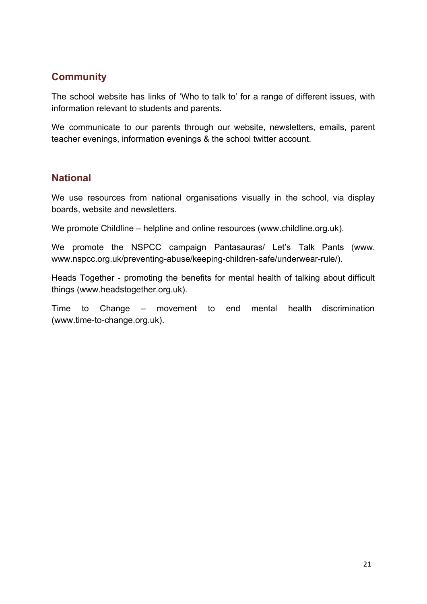## **Community**

The school website has links of 'Who to talk to' for a range of different issues, with information relevant to students and parents.

We communicate to our parents through our website, newsletters, emails, parent teacher evenings, information evenings & the school twitter account.

### **National**

We use resources from national organisations visually in the school, via display boards, website and newsletters.

We promote Childline – helpline and online resources (www.childline.org.uk).

We promote the NSPCC campaign Pantasauras/ Let's Talk Pants (www. [www.nspcc.org.uk/preventing-abuse/keeping-children-safe/underwear-rule/](http://www.nspcc.org.uk/preventing-abuse/keeping-children-safe/underwear-rule/)).

Heads Together - promoting the benefits for mental health of talking about difficult things (www.headstogether.org.uk).

Time to Change – movement to end mental health discrimination (www.time-to-change.org.uk).